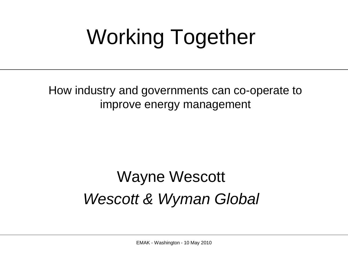# Working Together

How industry and governments can co-operate to improve energy management

#### Wayne Wescott *Wescott & Wyman Global*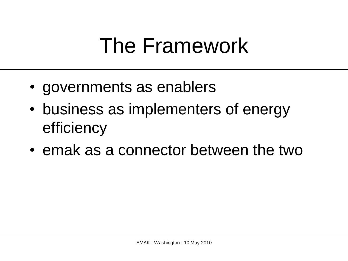### The Framework

- governments as enablers
- business as implementers of energy efficiency
- emak as a connector between the two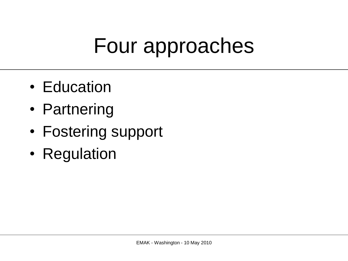### Four approaches

- Education
- Partnering
- Fostering support
- Regulation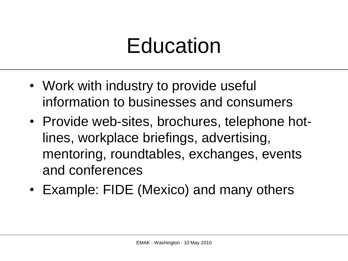#### Education

- Work with industry to provide useful information to businesses and consumers
- Provide web-sites, brochures, telephone hotlines, workplace briefings, advertising, mentoring, roundtables, exchanges, events and conferences
- Example: FIDE (Mexico) and many others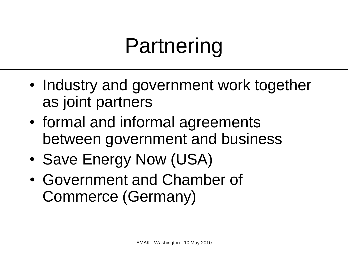### Partnering

- Industry and government work together as joint partners
- formal and informal agreements between government and business
- Save Energy Now (USA)
- Government and Chamber of Commerce (Germany)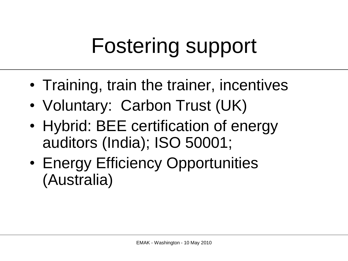# Fostering support

- Training, train the trainer, incentives
- Voluntary: Carbon Trust (UK)
- Hybrid: BEE certification of energy auditors (India); ISO 50001;
- Energy Efficiency Opportunities (Australia)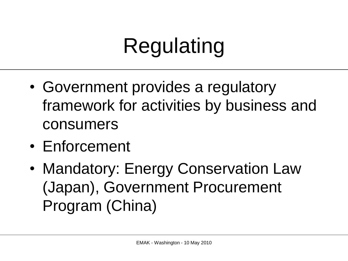# Regulating

- Government provides a regulatory framework for activities by business and consumers
- Enforcement
- Mandatory: Energy Conservation Law (Japan), Government Procurement Program (China)